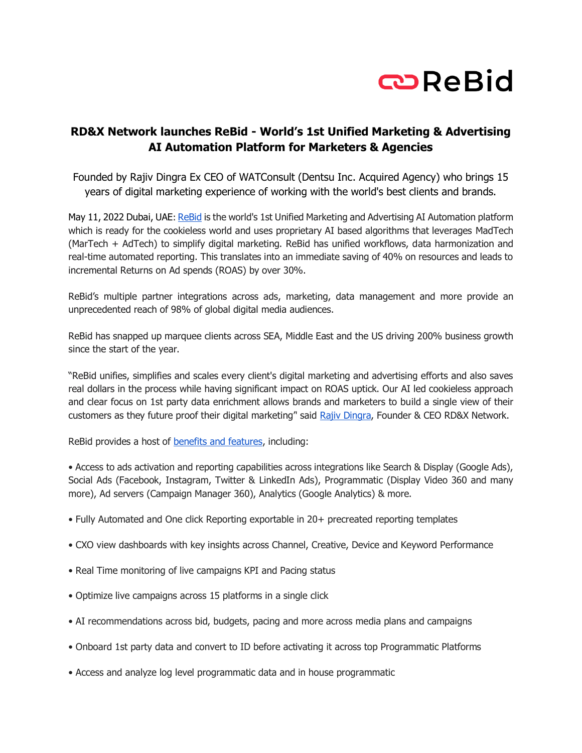

## **RD&X Network launches ReBid - World's 1st Unified Marketing & Advertising AI Automation Platform for Marketers & Agencies**

Founded by Rajiv Dingra Ex CEO of WATConsult (Dentsu Inc. Acquired Agency) who brings 15 years of digital marketing experience of working with the world's best clients and brands.

May 11, 2022 Dubai, UAE: [ReBid](https://www.rebid.co/) is the world's 1st Unified Marketing and Advertising AI Automation platform which is ready for the cookieless world and uses proprietary AI based algorithms that leverages MadTech (MarTech + AdTech) to simplify digital marketing. ReBid has unified workflows, data harmonization and real-time automated reporting. This translates into an immediate saving of 40% on resources and leads to incremental Returns on Ad spends (ROAS) by over 30%.

ReBid's multiple partner integrations across ads, marketing, data management and more provide an unprecedented reach of 98% of global digital media audiences.

ReBid has snapped up marquee clients across SEA, Middle East and the US driving 200% business growth since the start of the year.

"ReBid unifies, simplifies and scales every client's digital marketing and advertising efforts and also saves real dollars in the process while having significant impact on ROAS uptick. Our AI led cookieless approach and clear focus on 1st party data enrichment allows brands and marketers to build a single view of their customers as they future proof their digital marketing'' said [Rajiv Dingra,](https://www.linkedin.com/in/rajivdingra/) Founder & CEO RD&X Network.

ReBid provides a host of [benefits and features,](https://www.rebid.co/rebid-buy/) including:

• Access to ads activation and reporting capabilities across integrations like Search & Display (Google Ads), Social Ads (Facebook, Instagram, Twitter & LinkedIn Ads), Programmatic (Display Video 360 and many more), Ad servers (Campaign Manager 360), Analytics (Google Analytics) & more.

- Fully Automated and One click Reporting exportable in 20+ precreated reporting templates
- CXO view dashboards with key insights across Channel, Creative, Device and Keyword Performance
- Real Time monitoring of live campaigns KPI and Pacing status
- Optimize live campaigns across 15 platforms in a single click
- AI recommendations across bid, budgets, pacing and more across media plans and campaigns
- Onboard 1st party data and convert to ID before activating it across top Programmatic Platforms
- Access and analyze log level programmatic data and in house programmatic